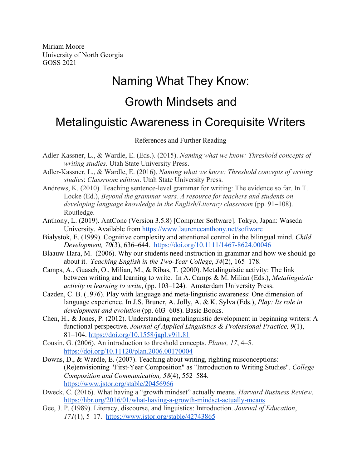Miriam Moore University of North Georgia GOSS 2021

## Naming What They Know: Growth Mindsets and Metalinguistic Awareness in Corequisite Writers

References and Further Reading

- Adler-Kassner, L., & Wardle, E. (Eds.). (2015). *Naming what we know: Threshold concepts of writing studies*. Utah State University Press.
- Adler-Kassner, L., & Wardle, E. (2016). *Naming what we know: Threshold concepts of writing studies*: *Classroom edition*. Utah State University Press.
- Andrews, K. (2010). Teaching sentence-level grammar for writing: The evidence so far. In T. Locke (Ed.), *Beyond the grammar wars. A resource for teachers and students on developing language knowledge in the English/Literacy classroom* (pp. 91–108). Routledge.
- Anthony, L. (2019). AntConc (Version 3.5.8) [Computer Software]. Tokyo, Japan: Waseda University. Available from <https://www.laurenceanthony.net/software>
- Bialystok, E. (1999). Cognitive complexity and attentional control in the bilingual mind. *Child Development, 70*(3), 636–644.<https://doi.org/10.1111/1467-8624.00046>
- Blaauw-Hara, M. (2006). Why our students need instruction in grammar and how we should go about it. *Teaching English in the Two-Year College*, *34*(2), 165–178.
- Camps, A., Guasch, O., Milian, M., & Ribas, T. (2000). Metalinguistic activity: The link between writing and learning to write. In A. Camps & M. Milian (Eds.), *Metalinguistic activity in learning to write*, (pp. 103–124). Amsterdam University Press.
- Cazden, C. B. (1976). Play with language and meta-linguistic awareness: One dimension of language experience. In J.S. Bruner, A. Jolly, A. & K. Sylva (Eds.), *Play: Its role in development and evolution* (pp. 603–608). Basic Books.
- Chen, H., & Jones, P. (2012). Understanding metalinguistic development in beginning writers: A functional perspective. *Journal of Applied Linguistics & Professional Practice, 9*(1), 81–104. <https://doi.org/10.1558/japl.v9i1.81>
- Cousin, G. (2006). An introduction to threshold concepts. *Planet, 17*, 4–5. <https://doi.org/10.11120/plan.2006.00170004>
- Downs, D., & Wardle, E. (2007). Teaching about writing, righting misconceptions: (Re)envisioning "First-Year Composition" as "Introduction to Writing Studies". *College Composition and Communication, 58*(4), 552–584. <https://www.jstor.org/stable/20456966>
- Dweck, C. (2016). What having a "growth mindset" actually means. *Harvard Business Review*. <https://hbr.org/2016/01/what-having-a-growth-mindset-actually-means>
- Gee, J. P. (1989). Literacy, discourse, and linguistics: Introduction. *Journal of Education*, *171*(1), 5–17. <https://www.jstor.org/stable/42743865>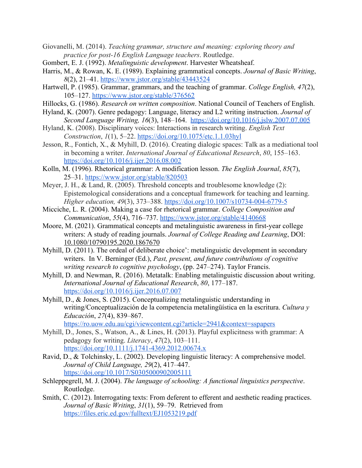- Giovanelli, M. (2014). *Teaching grammar, structure and meaning: exploring theory and practice for post-16 English Language teachers*. Routledge.
- Gombert, E. J. (1992). *Metalinguistic development*. Harvester Wheatsheaf.
- Harris, M., & Rowan, K. E. (1989). Explaining grammatical concepts. *Journal of Basic Writing*, *8*(2), 21–41. <https://www.jstor.org/stable/43443524>
- Hartwell, P. (1985). Grammar, grammars, and the teaching of grammar. *College English, 47*(2), 105–127. <https://www.jstor.org/stable/376562>
- Hillocks, G. (1986). *Research on written composition*. National Council of Teachers of English.
- Hyland, K. (2007). Genre pedagogy: Language, literacy and L2 writing instruction. *Journal of Second Language Writing, 16*(3), 148–164. <https://doi.org/10.1016/j.jslw.2007.07.005>
- Hyland, K. (2008). Disciplinary voices: Interactions in research writing. *English Text Construction*, *1*(1), 5–22. <https://doi.org/10.1075/etc.1.1.03hyl>
- Jesson, R., Fontich, X., & Myhill, D. (2016). Creating dialogic spaces: Talk as a mediational tool in becoming a writer. *International Journal of Educational Research*, *80*, 155–163. <https://doi.org/10.1016/j.ijer.2016.08.002>
- Kolln, M. (1996). Rhetorical grammar: A modification lesson. *The English Journal*, *85*(7), 25–31. <https://www.jstor.org/stable/820503>
- Meyer, J. H., & Land, R. (2005). Threshold concepts and troublesome knowledge (2): Epistemological considerations and a conceptual framework for teaching and learning. *Higher education, 49*(3), 373–388[.](https://doi.org/10.1007/s10734-004-6779-5) <https://doi.org/10.1007/s10734-004-6779-5>
- Micciche, L. R. (2004). Making a case for rhetorical grammar. *College Composition and Communication*, *55*(4), 716–737. <https://www.jstor.org/stable/4140668>
- Moore, M. (2021). Grammatical concepts and metalinguistic awareness in first-year college writers: A study of reading journals. *Journal of College Reading and Learning*, DOI: [10.1080/10790195.2020.1867670](https://doi.org/10.1080/10790195.2020.1867670)
- Myhill, D. (2011). The ordeal of deliberate choice': metalinguistic development in secondary writers. In V. Berninger (Ed.), *Past, present, and future contributions of cognitive writing research to cognitive psychology*, (pp. 247–274). Taylor Francis.
- Myhill, D. and Newman, R. (2016). Metatalk: Enabling metalinguistic discussion about writing. *International Journal of Educational Research*, *80*, 177–187[.](https://doi.org/10.1016/j.ijer.2016.07.007) <https://doi.org/10.1016/j.ijer.2016.07.007>
- Myhill, D., & Jones, S. (2015). Conceptualizing metalinguistic understanding in writing/Conceptualización de la competencia metalingüística en la escritura. *Cultura y Educación*, *27*(4), 839–867[.](https://ro.uow.edu.au/cgi/viewcontent.cgi?article=2941&context=sspapers)

<https://ro.uow.edu.au/cgi/viewcontent.cgi?article=2941&context=sspapers>

- Myhill, D., Jones, S., Watson, A., & Lines, H. (2013). Playful explicitness with grammar: A pedagogy for writing. *Literacy*, *47*(2), 103–111[.](https://doi.org/10.1111/j.1741-4369.2012.00674.x) <https://doi.org/10.1111/j.1741-4369.2012.00674.x>
- Ravid, D., & Tolchinsky, L. (2002). Developing linguistic literacy: A comprehensive model. *Journal of Child Language, 29*(2), 417–447[.](https://doi.org/10.1017/S0305000902005111) <https://doi.org/10.1017/S0305000902005111>
- Schleppegrell, M. J. (2004). *The language of schooling: A functional linguistics perspective*. Routledge.
- Smith, C. (2012). Interrogating texts: From deferent to efferent and aesthetic reading practices. *Journal of Basic Writing*, *31*(1), 59–79. Retrieved from <https://files.eric.ed.gov/fulltext/EJ1053219.pdf>